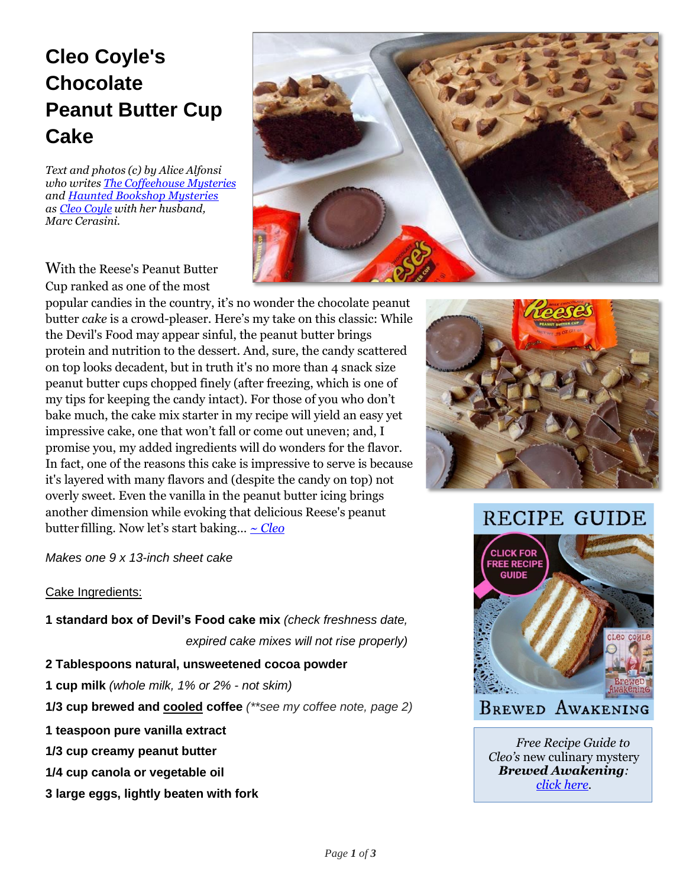# **Cleo Coyle's Chocolate Peanut Butter Cup Cake**

*Text and photos (c) by Alice Alfonsi who writes The [Coffeehouse Mysteries](http://www.coffeehousemystery.com/about_coffeehouse_mystery_books.cfm) an[d Haunted Bookshop Mysteries](https://www.coffeehousemystery.com/cleos_haunted_bookshop.cfm) as Cleo [Coyle](http://www.cleocoylerecipes.com/p/about_7.html) with her husband, Marc Cerasini.*



With the Reese's Peanut Butter Cup ranked as one of the most

popular candies in the country, it's no wonder the chocolate peanut butter *cake* is a crowd-pleaser. Here's my take on this classic: While the Devil's Food may appear sinful, the peanut butter brings protein and nutrition to the dessert. And, sure, the candy scattered on top looks decadent, but in truth it's no more than 4 snack size peanut butter cups chopped finely (after freezing, which is one of my tips for keeping the candy intact). For those of you who don't bake much, the cake mix starter in my recipe will yield an easy yet impressive cake, one that won't fall or come out uneven; and, I promise you, my added ingredients will do wonders for the flavor. In fact, one of the reasons this cake is impressive to serve is because it's layered with many flavors and (despite the candy on top) not overly sweet. Even the vanilla in the peanut butter icing brings another dimension while evoking that delicious Reese's peanut butter filling. Now let's start baking… *[~ Cleo](https://www.cleocoylerecipes.com/p/about_7.html)*

### **RECIPE GUIDE**



**BREWED AWAKENING** 

*Free Recipe Guide to Cleo's* new culinary mystery *[Brewed Awakening](https://www.coffeehousemystery.com/userfiles/file/Brewed-Awakening-Recipes-Cleo-Coyle.pdf): [click here.](https://www.coffeehousemystery.com/userfiles/file/Brewed-Awakening-Recipes-Cleo-Coyle.pdf)*

*Makes one 9 x 13-inch sheet cake*

#### Cake Ingredients:

**1 standard box of Devil's Food cake mix** *(check freshness date, expired cake mixes will not rise properly)*

**2 Tablespoons natural, unsweetened cocoa powder**

**1 cup milk** *(whole milk, 1% or 2% - not skim)*

**1/3 cup brewed and cooled coffee** *(\*\*see my coffee note, page 2)*

- **1 teaspoon pure vanilla extract**
- **1/3 cup creamy peanut butter**
- **1/4 cup canola or vegetable oil**
- **3 large eggs, lightly beaten with fork**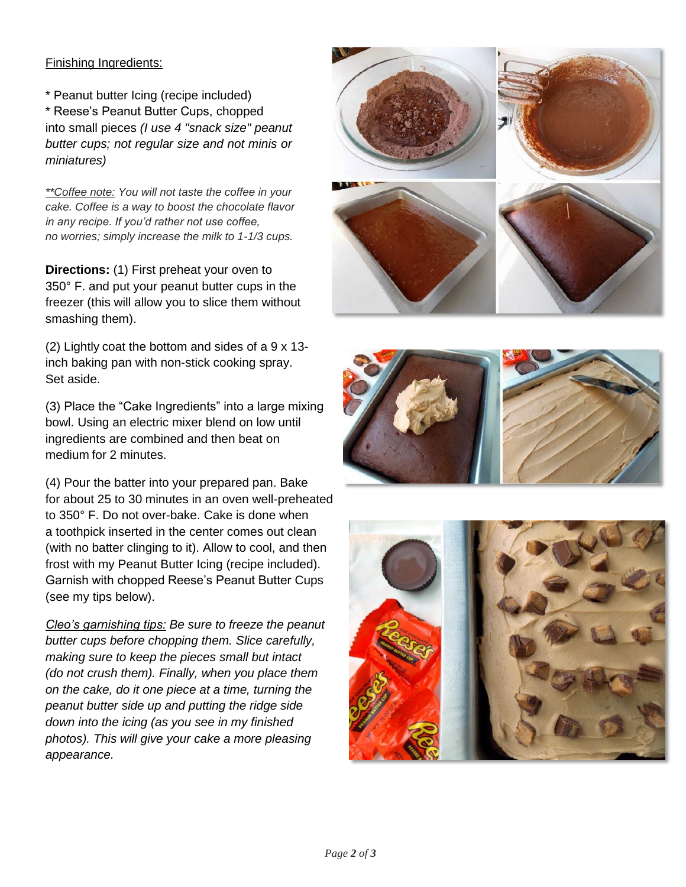#### Finishing Ingredients:

\* Peanut butter Icing (recipe included) \* Reese's Peanut Butter Cups, chopped into small pieces *(I use 4 "snack size" peanut butter cups; not regular size and not minis or miniatures)*

*\*\*Coffee note: You will not taste the coffee in your cake. Coffee is a way to boost the chocolate flavor in any recipe. If you'd rather not use coffee, no worries; simply increase the milk to 1-1/3 cups.*

**Directions:** (1) First preheat your oven to 350° F. and put your peanut butter cups in the freezer (this will allow you to slice them without smashing them).

(2) Lightly coat the bottom and sides of a 9 x 13 inch baking pan with non-stick cooking spray. Set aside.

(3) Place the "Cake Ingredients" into a large mixing bowl. Using an electric mixer blend on low until ingredients are combined and then beat on medium for 2 minutes.

(4) Pour the batter into your prepared pan. Bake for about 25 to 30 minutes in an oven well-preheated to 350° F. Do not over-bake. Cake is done when a toothpick inserted in the center comes out clean (with no batter clinging to it). Allow to cool, and then frost with my Peanut Butter Icing (recipe included). Garnish with chopped Reese's Peanut Butter Cups (see my tips below).

*Cleo's garnishing tips: Be sure to freeze the peanut butter cups before chopping them. Slice carefully, making sure to keep the pieces small but intact (do not crush them). Finally, when you place them on the cake, do it one piece at a time, turning the peanut butter side up and putting the ridge side down into the icing (as you see in my finished photos). This will give your cake a more pleasing appearance.*